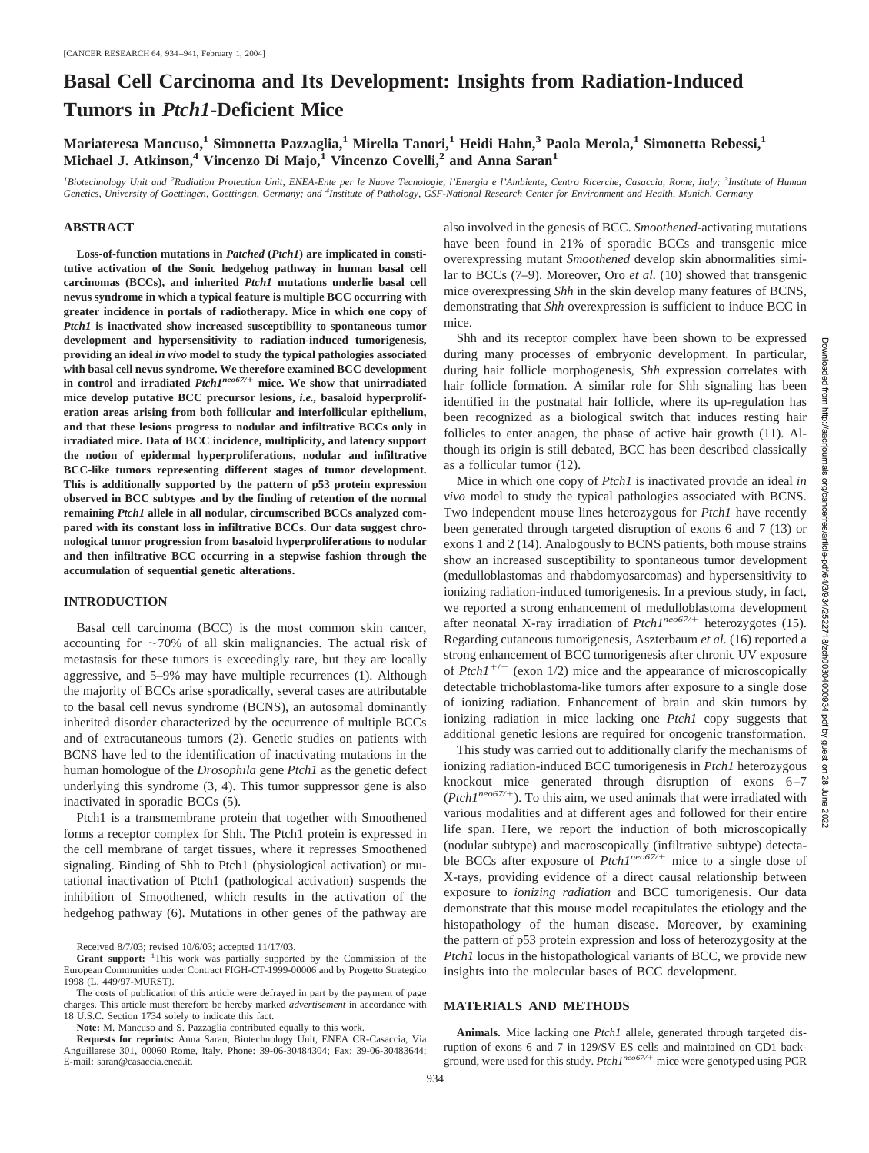# **Basal Cell Carcinoma and Its Development: Insights from Radiation-Induced Tumors in** *Ptch1***-Deficient Mice**

**Mariateresa Mancuso,1 Simonetta Pazzaglia,1 Mirella Tanori,1 Heidi Hahn,3 Paola Merola,1 Simonetta Rebessi,1 Michael J. Atkinson,4 Vincenzo Di Majo,1 Vincenzo Covelli,2 and Anna Saran1**

*1 Biotechnology Unit and <sup>2</sup> Radiation Protection Unit, ENEA-Ente per le Nuove Tecnologie, l'Energia e l'Ambiente, Centro Ricerche, Casaccia, Rome, Italy; <sup>3</sup> Institute of Human Genetics, University of Goettingen, Goettingen, Germany; and <sup>4</sup> Institute of Pathology, GSF-National Research Center for Environment and Health, Munich, Germany*

#### **ABSTRACT**

**Loss-of-function mutations in** *Patched* **(***Ptch1***) are implicated in constitutive activation of the Sonic hedgehog pathway in human basal cell carcinomas (BCCs), and inherited** *Ptch1* **mutations underlie basal cell nevus syndrome in which a typical feature is multiple BCC occurring with greater incidence in portals of radiotherapy. Mice in which one copy of** *Ptch1* **is inactivated show increased susceptibility to spontaneous tumor development and hypersensitivity to radiation-induced tumorigenesis, providing an ideal** *in vivo* **model to study the typical pathologies associated with basal cell nevus syndrome. We therefore examined BCC development in control and irradiated** *Ptch1neo67/* **mice. We show that unirradiated mice develop putative BCC precursor lesions,** *i.e.,* **basaloid hyperproliferation areas arising from both follicular and interfollicular epithelium, and that these lesions progress to nodular and infiltrative BCCs only in irradiated mice. Data of BCC incidence, multiplicity, and latency support the notion of epidermal hyperproliferations, nodular and infiltrative BCC-like tumors representing different stages of tumor development. This is additionally supported by the pattern of p53 protein expression observed in BCC subtypes and by the finding of retention of the normal remaining** *Ptch1* **allele in all nodular, circumscribed BCCs analyzed compared with its constant loss in infiltrative BCCs. Our data suggest chronological tumor progression from basaloid hyperproliferations to nodular and then infiltrative BCC occurring in a stepwise fashion through the accumulation of sequential genetic alterations.**

#### **INTRODUCTION**

Basal cell carcinoma (BCC) is the most common skin cancer, accounting for  $\sim$ 70% of all skin malignancies. The actual risk of metastasis for these tumors is exceedingly rare, but they are locally aggressive, and 5–9% may have multiple recurrences (1). Although the majority of BCCs arise sporadically, several cases are attributable to the basal cell nevus syndrome (BCNS), an autosomal dominantly inherited disorder characterized by the occurrence of multiple BCCs and of extracutaneous tumors (2). Genetic studies on patients with BCNS have led to the identification of inactivating mutations in the human homologue of the *Drosophila* gene *Ptch1* as the genetic defect underlying this syndrome (3, 4). This tumor suppressor gene is also inactivated in sporadic BCCs (5).

Ptch1 is a transmembrane protein that together with Smoothened forms a receptor complex for Shh. The Ptch1 protein is expressed in the cell membrane of target tissues, where it represses Smoothened signaling. Binding of Shh to Ptch1 (physiological activation) or mutational inactivation of Ptch1 (pathological activation) suspends the inhibition of Smoothened, which results in the activation of the hedgehog pathway (6). Mutations in other genes of the pathway are also involved in the genesis of BCC. *Smoothened*-activating mutations have been found in 21% of sporadic BCCs and transgenic mice overexpressing mutant *Smoothened* develop skin abnormalities similar to BCCs (7–9). Moreover, Oro *et al.* (10) showed that transgenic mice overexpressing *Shh* in the skin develop many features of BCNS, demonstrating that *Shh* overexpression is sufficient to induce BCC in mice.

Shh and its receptor complex have been shown to be expressed during many processes of embryonic development. In particular, during hair follicle morphogenesis, *Shh* expression correlates with hair follicle formation. A similar role for Shh signaling has been identified in the postnatal hair follicle, where its up-regulation has been recognized as a biological switch that induces resting hair follicles to enter anagen, the phase of active hair growth (11). Although its origin is still debated, BCC has been described classically as a follicular tumor (12).

Mice in which one copy of *Ptch1* is inactivated provide an ideal *in vivo* model to study the typical pathologies associated with BCNS. Two independent mouse lines heterozygous for *Ptch1* have recently been generated through targeted disruption of exons 6 and 7 (13) or exons 1 and 2 (14). Analogously to BCNS patients, both mouse strains show an increased susceptibility to spontaneous tumor development (medulloblastomas and rhabdomyosarcomas) and hypersensitivity to ionizing radiation-induced tumorigenesis. In a previous study, in fact, we reported a strong enhancement of medulloblastoma development after neonatal X-ray irradiation of *Ptch1neo67/*- heterozygotes (15). Regarding cutaneous tumorigenesis, Aszterbaum *et al.* (16) reported a strong enhancement of BCC tumorigenesis after chronic UV exposure of  $Ptch1^{+/-}$  (exon 1/2) mice and the appearance of microscopically detectable trichoblastoma-like tumors after exposure to a single dose of ionizing radiation. Enhancement of brain and skin tumors by ionizing radiation in mice lacking one *Ptch1* copy suggests that additional genetic lesions are required for oncogenic transformation.

This study was carried out to additionally clarify the mechanisms of ionizing radiation-induced BCC tumorigenesis in *Ptch1* heterozygous knockout mice generated through disruption of exons 6–7  $(PtchI<sup>neo67/+</sup>)$ . To this aim, we used animals that were irradiated with various modalities and at different ages and followed for their entire life span. Here, we report the induction of both microscopically (nodular subtype) and macroscopically (infiltrative subtype) detectable BCCs after exposure of *Ptch1<sup>neo67/+</sup>* mice to a single dose of X-rays, providing evidence of a direct causal relationship between exposure to *ionizing radiation* and BCC tumorigenesis. Our data demonstrate that this mouse model recapitulates the etiology and the histopathology of the human disease. Moreover, by examining the pattern of p53 protein expression and loss of heterozygosity at the *Ptch1* locus in the histopathological variants of BCC, we provide new insights into the molecular bases of BCC development.

### **MATERIALS AND METHODS**

**Animals.** Mice lacking one *Ptch1* allele, generated through targeted disruption of exons 6 and 7 in 129/SV ES cells and maintained on CD1 background, were used for this study. *Ptch1<sup>neo67/+</sup>* mice were genotyped using PCR

Received 8/7/03; revised 10/6/03; accepted 11/17/03.

Grant support: <sup>1</sup>This work was partially supported by the Commission of the European Communities under Contract FIGH-CT-1999-00006 and by Progetto Strategico 1998 (L. 449/97-MURST).

The costs of publication of this article were defrayed in part by the payment of page charges. This article must therefore be hereby marked *advertisement* in accordance with 18 U.S.C. Section 1734 solely to indicate this fact.

**Note:** M. Mancuso and S. Pazzaglia contributed equally to this work.

**Requests for reprints:** Anna Saran, Biotechnology Unit, ENEA CR-Casaccia, Via Anguillarese 301, 00060 Rome, Italy. Phone: 39-06-30484304; Fax: 39-06-30483644; E-mail: saran@casaccia.enea.it.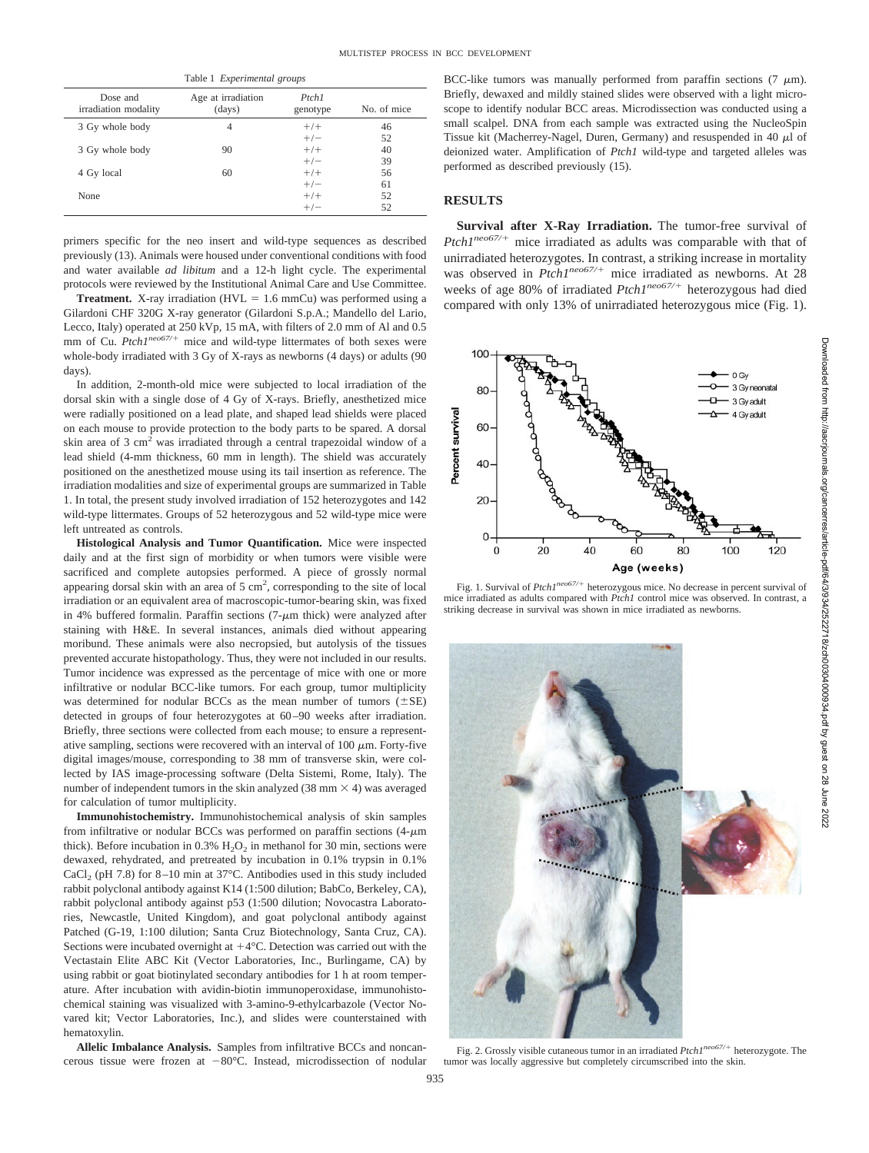| Table 1 Experimental groups      |                              |                   |             |  |  |
|----------------------------------|------------------------------|-------------------|-------------|--|--|
| Dose and<br>irradiation modality | Age at irradiation<br>(days) | Ptch1<br>genotype | No. of mice |  |  |
| 3 Gy whole body                  | 4                            | $+/-$             | 46          |  |  |
|                                  |                              | $+/-$             | 52          |  |  |
| 3 Gy whole body                  | 90                           | $+/-$             | 40          |  |  |
|                                  |                              | $+/-$             | 39          |  |  |
| 4 Gy local                       | 60                           | $+/-$             | 56          |  |  |
|                                  |                              | $+/-$             | 61          |  |  |
| None                             |                              | $+/-$             | 52          |  |  |
|                                  |                              | $+/-$             | 52          |  |  |

primers specific for the neo insert and wild-type sequences as described previously (13). Animals were housed under conventional conditions with food and water available *ad libitum* and a 12-h light cycle. The experimental protocols were reviewed by the Institutional Animal Care and Use Committee.

**Treatment.** X-ray irradiation ( $HVL = 1.6$  mmCu) was performed using a Gilardoni CHF 320G X-ray generator (Gilardoni S.p.A.; Mandello del Lario, Lecco, Italy) operated at 250 kVp, 15 mA, with filters of 2.0 mm of Al and 0.5 mm of Cu. Ptch1<sup>neo67/+</sup> mice and wild-type littermates of both sexes were whole-body irradiated with 3 Gy of X-rays as newborns (4 days) or adults (90 days).

In addition, 2-month-old mice were subjected to local irradiation of the dorsal skin with a single dose of 4 Gy of X-rays. Briefly, anesthetized mice were radially positioned on a lead plate, and shaped lead shields were placed on each mouse to provide protection to the body parts to be spared. A dorsal skin area of 3 cm<sup>2</sup> was irradiated through a central trapezoidal window of a lead shield (4-mm thickness, 60 mm in length). The shield was accurately positioned on the anesthetized mouse using its tail insertion as reference. The irradiation modalities and size of experimental groups are summarized in Table 1. In total, the present study involved irradiation of 152 heterozygotes and 142 wild-type littermates. Groups of 52 heterozygous and 52 wild-type mice were left untreated as controls.

**Histological Analysis and Tumor Quantification.** Mice were inspected daily and at the first sign of morbidity or when tumors were visible were sacrificed and complete autopsies performed. A piece of grossly normal appearing dorsal skin with an area of  $5 \text{ cm}^2$ , corresponding to the site of local irradiation or an equivalent area of macroscopic-tumor-bearing skin, was fixed in 4% buffered formalin. Paraffin sections  $(7-\mu m)$  thick) were analyzed after staining with H&E. In several instances, animals died without appearing moribund. These animals were also necropsied, but autolysis of the tissues prevented accurate histopathology. Thus, they were not included in our results. Tumor incidence was expressed as the percentage of mice with one or more infiltrative or nodular BCC-like tumors. For each group, tumor multiplicity was determined for nodular BCCs as the mean number of tumors  $(\pm SE)$ detected in groups of four heterozygotes at 60–90 weeks after irradiation. Briefly, three sections were collected from each mouse; to ensure a representative sampling, sections were recovered with an interval of  $100 \mu m$ . Forty-five digital images/mouse, corresponding to 38 mm of transverse skin, were collected by IAS image-processing software (Delta Sistemi, Rome, Italy). The number of independent tumors in the skin analyzed (38 mm  $\times$  4) was averaged for calculation of tumor multiplicity.

**Immunohistochemistry.** Immunohistochemical analysis of skin samples from infiltrative or nodular BCCs was performed on paraffin sections  $(4-\mu m)$ thick). Before incubation in 0.3%  $H_2O_2$  in methanol for 30 min, sections were dewaxed, rehydrated, and pretreated by incubation in 0.1% trypsin in 0.1% CaCl<sub>2</sub> (pH 7.8) for  $8-10$  min at 37 $^{\circ}$ C. Antibodies used in this study included rabbit polyclonal antibody against K14 (1:500 dilution; BabCo, Berkeley, CA), rabbit polyclonal antibody against p53 (1:500 dilution; Novocastra Laboratories, Newcastle, United Kingdom), and goat polyclonal antibody against Patched (G-19, 1:100 dilution; Santa Cruz Biotechnology, Santa Cruz, CA). Sections were incubated overnight at  $+4$ °C. Detection was carried out with the Vectastain Elite ABC Kit (Vector Laboratories, Inc., Burlingame, CA) by using rabbit or goat biotinylated secondary antibodies for 1 h at room temperature. After incubation with avidin-biotin immunoperoxidase, immunohistochemical staining was visualized with 3-amino-9-ethylcarbazole (Vector Novared kit; Vector Laboratories, Inc.), and slides were counterstained with hematoxylin.

**Allelic Imbalance Analysis.** Samples from infiltrative BCCs and noncancerous tissue were frozen at  $-80^{\circ}$ C. Instead, microdissection of nodular BCC-like tumors was manually performed from paraffin sections  $(7 \mu m)$ . Briefly, dewaxed and mildly stained slides were observed with a light microscope to identify nodular BCC areas. Microdissection was conducted using a small scalpel. DNA from each sample was extracted using the NucleoSpin Tissue kit (Macherrey-Nagel, Duren, Germany) and resuspended in 40  $\mu$ l of deionized water. Amplification of *Ptch1* wild-type and targeted alleles was performed as described previously (15).

## **RESULTS**

**Survival after X-Ray Irradiation.** The tumor-free survival of Ptch1<sup>neo67/+</sup> mice irradiated as adults was comparable with that of unirradiated heterozygotes. In contrast, a striking increase in mortality was observed in *Ptch1<sup>neo67/+</sup>* mice irradiated as newborns. At 28 weeks of age 80% of irradiated *Ptch1<sup>neo67/+</sup>* heterozygous had died compared with only 13% of unirradiated heterozygous mice (Fig. 1).



Fig. 1. Survival of *Ptch1<sup>neo67/+</sup>* heterozygous mice. No decrease in percent survival of mice irradiated as adults compared with *Ptch1* control mice was observed. In contrast, a striking decrease in survival was shown in mice irradiated as newborns.



Fig. 2. Grossly visible cutaneous tumor in an irradiated *Ptch1neo67/*- heterozygote. The tumor was locally aggressive but completely circumscribed into the skin.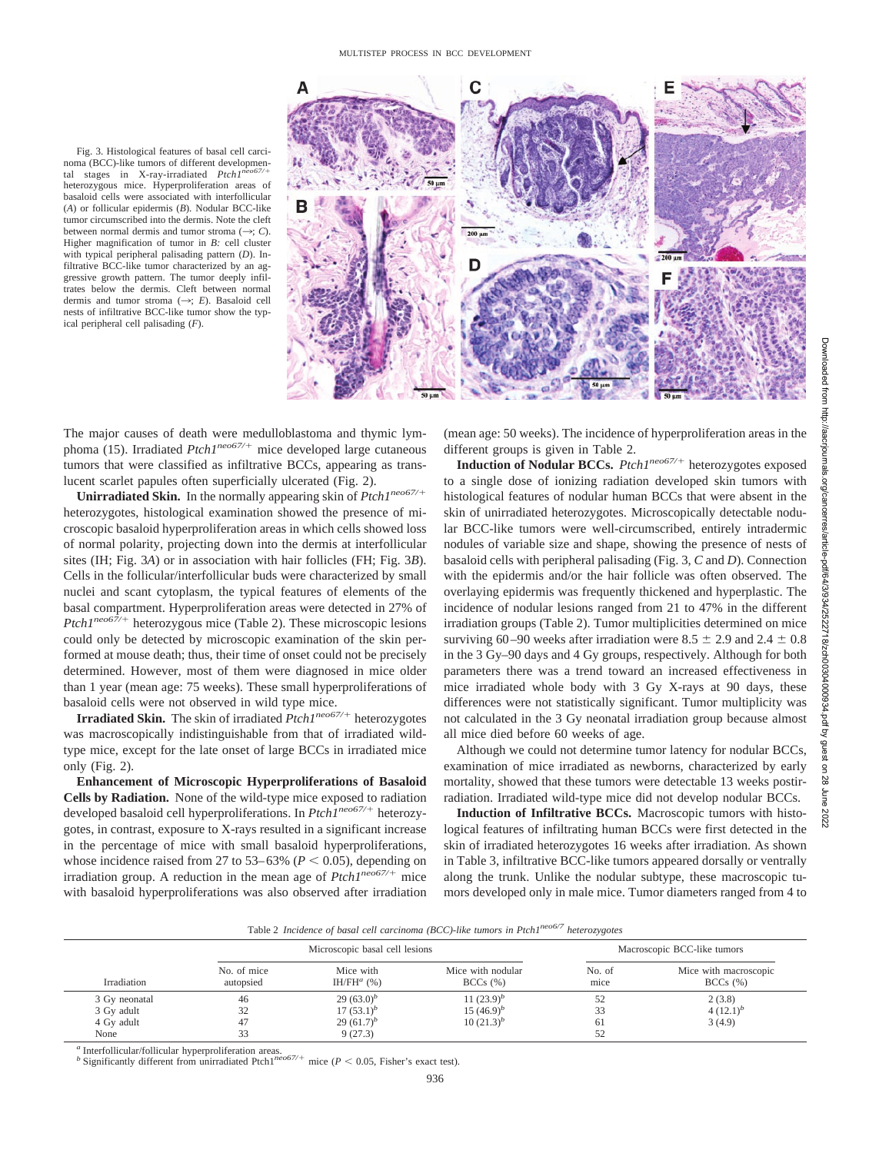

noma (BCC)-like tumors of different developmental stages in X-ray-irradiated *Ptch1<sup>ne</sup>* heterozygous mice. Hyperproliferation areas of basaloid cells were associated with interfollicular (*A*) or follicular epidermis (*B*). Nodular BCC-like tumor circumscribed into the dermis. Note the cleft between normal dermis and tumor stroma  $(\rightarrow; C)$ . Higher magnification of tumor in *B:* cell cluster with typical peripheral palisading pattern (*D*). Infiltrative BCC-like tumor characterized by an aggressive growth pattern. The tumor deeply infiltrates below the dermis. Cleft between normal dermis and tumor stroma (3; *E*). Basaloid cell nests of infiltrative BCC-like tumor show the typical peripheral cell palisading (*F*).

Fig. 3. Histological features of basal cell carci-

The major causes of death were medulloblastoma and thymic lymphoma (15). Irradiated *Ptch1<sup>neo67/+</sup>* mice developed large cutaneous tumors that were classified as infiltrative BCCs, appearing as translucent scarlet papules often superficially ulcerated (Fig. 2).

**Unirradiated Skin.** In the normally appearing skin of *Ptch1neo67/* heterozygotes, histological examination showed the presence of microscopic basaloid hyperproliferation areas in which cells showed loss of normal polarity, projecting down into the dermis at interfollicular sites (IH; Fig. 3*A*) or in association with hair follicles (FH; Fig. 3*B*). Cells in the follicular/interfollicular buds were characterized by small nuclei and scant cytoplasm, the typical features of elements of the basal compartment. Hyperproliferation areas were detected in 27% of *Ptch1<sup>neo67/+</sup>* heterozygous mice (Table 2). These microscopic lesions could only be detected by microscopic examination of the skin performed at mouse death; thus, their time of onset could not be precisely determined. However, most of them were diagnosed in mice older than 1 year (mean age: 75 weeks). These small hyperproliferations of basaloid cells were not observed in wild type mice.

**Irradiated Skin.** The skin of irradiated *Ptch1neo67/*- heterozygotes was macroscopically indistinguishable from that of irradiated wildtype mice, except for the late onset of large BCCs in irradiated mice only (Fig. 2).

**Enhancement of Microscopic Hyperproliferations of Basaloid Cells by Radiation.** None of the wild-type mice exposed to radiation developed basaloid cell hyperproliferations. In *Ptch1<sup>neo67/+</sup>* heterozygotes, in contrast, exposure to X-rays resulted in a significant increase in the percentage of mice with small basaloid hyperproliferations, whose incidence raised from 27 to  $53-63\%$  ( $P < 0.05$ ), depending on irradiation group. A reduction in the mean age of *Ptch1<sup>neo67/+</sup>* mice with basaloid hyperproliferations was also observed after irradiation (mean age: 50 weeks). The incidence of hyperproliferation areas in the different groups is given in Table 2.

**Induction of Nodular BCCs.** *Ptch1<sup>neo67/+</sup>* heterozygotes exposed to a single dose of ionizing radiation developed skin tumors with histological features of nodular human BCCs that were absent in the skin of unirradiated heterozygotes. Microscopically detectable nodular BCC-like tumors were well-circumscribed, entirely intradermic nodules of variable size and shape, showing the presence of nests of basaloid cells with peripheral palisading (Fig. 3, *C* and *D*). Connection with the epidermis and/or the hair follicle was often observed. The overlaying epidermis was frequently thickened and hyperplastic. The incidence of nodular lesions ranged from 21 to 47% in the different irradiation groups (Table 2). Tumor multiplicities determined on mice surviving 60–90 weeks after irradiation were 8.5  $\pm$  2.9 and 2.4  $\pm$  0.8 in the 3 Gy–90 days and 4 Gy groups, respectively. Although for both parameters there was a trend toward an increased effectiveness in mice irradiated whole body with 3 Gy X-rays at 90 days, these differences were not statistically significant. Tumor multiplicity was not calculated in the 3 Gy neonatal irradiation group because almost all mice died before 60 weeks of age.

Although we could not determine tumor latency for nodular BCCs, examination of mice irradiated as newborns, characterized by early mortality, showed that these tumors were detectable 13 weeks postirradiation. Irradiated wild-type mice did not develop nodular BCCs.

**Induction of Infiltrative BCCs.** Macroscopic tumors with histological features of infiltrating human BCCs were first detected in the skin of irradiated heterozygotes 16 weeks after irradiation. As shown in Table 3, infiltrative BCC-like tumors appeared dorsally or ventrally along the trunk. Unlike the nodular subtype, these macroscopic tumors developed only in male mice. Tumor diameters ranged from 4 to

Table 2 *Incidence of basal cell carcinoma (BCC)-like tumors in Ptch1neo6/7 heterozygotes*

|               | Microscopic basal cell lesions |                                        | Macroscopic BCC-like tumors        |                |                                         |
|---------------|--------------------------------|----------------------------------------|------------------------------------|----------------|-----------------------------------------|
| Irradiation   | No. of mice<br>autopsied       | Mice with<br>IH/FH <sup>a</sup> $(\%)$ | Mice with nodular<br>$BCCs$ $(\%)$ | No. of<br>mice | Mice with macroscopic<br>$BCCs$ $(\% )$ |
| 3 Gy neonatal | 46                             | 29 $(63.0)^b$                          | 11 $(23.9)^b$                      | 52             | 2(3.8)                                  |
| 3 Gy adult    | 32                             | 17 $(53.1)^b$                          | 15 $(46.9)^b$                      | 33             | $4(12.1)^{b}$                           |
| 4 Gy adult    | 47                             | 29 $(61.7)^b$                          | $10(21.3)^b$                       | 61             | 3(4.9)                                  |
| None          | n n<br>33                      | 9(27.3)                                |                                    | 52             |                                         |

*<sup>a</sup>* Interfollicular/follicular hyperproliferation areas. *<sup>b</sup>* Significantly different from unirradiated Ptch1*neo67/*mice ( $P < 0.05$ , Fisher's exact test).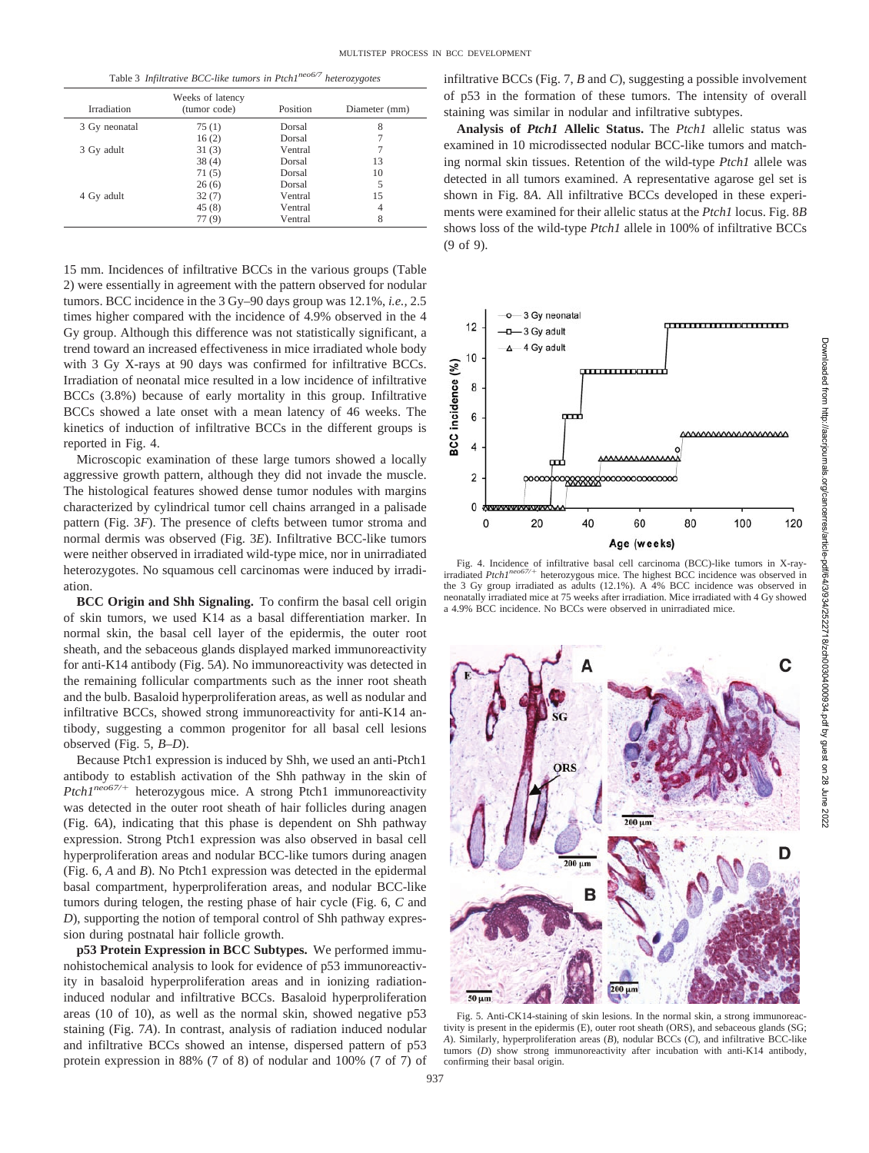Table 3 *Infiltrative BCC-like tumors in Ptch1neo6/7 heterozygotes*

| Irradiation   | Weeks of latency<br>(tumor code) | Position | Diameter (mm) |
|---------------|----------------------------------|----------|---------------|
| 3 Gy neonatal | 75(1)                            | Dorsal   | 8             |
|               | 16(2)                            | Dorsal   |               |
| 3 Gy adult    | 31(3)                            | Ventral  |               |
|               | 38(4)                            | Dorsal   | 13            |
|               | 71(5)                            | Dorsal   | 10            |
|               | 26(6)                            | Dorsal   | 5             |
| 4 Gy adult    | 32(7)                            | Ventral  | 15            |
|               | 45(8)                            | Ventral  | 4             |
|               | 77(9)                            | Ventral  | 8             |

15 mm. Incidences of infiltrative BCCs in the various groups (Table 2) were essentially in agreement with the pattern observed for nodular tumors. BCC incidence in the 3 Gy–90 days group was 12.1%, *i.e.,* 2.5 times higher compared with the incidence of 4.9% observed in the 4 Gy group. Although this difference was not statistically significant, a trend toward an increased effectiveness in mice irradiated whole body with 3 Gy X-rays at 90 days was confirmed for infiltrative BCCs. Irradiation of neonatal mice resulted in a low incidence of infiltrative BCCs (3.8%) because of early mortality in this group. Infiltrative BCCs showed a late onset with a mean latency of 46 weeks. The kinetics of induction of infiltrative BCCs in the different groups is reported in Fig. 4.

Microscopic examination of these large tumors showed a locally aggressive growth pattern, although they did not invade the muscle. The histological features showed dense tumor nodules with margins characterized by cylindrical tumor cell chains arranged in a palisade pattern (Fig. 3*F*). The presence of clefts between tumor stroma and normal dermis was observed (Fig. 3*E*). Infiltrative BCC-like tumors were neither observed in irradiated wild-type mice, nor in unirradiated heterozygotes. No squamous cell carcinomas were induced by irradiation.

**BCC Origin and Shh Signaling.** To confirm the basal cell origin of skin tumors, we used K14 as a basal differentiation marker. In normal skin, the basal cell layer of the epidermis, the outer root sheath, and the sebaceous glands displayed marked immunoreactivity for anti-K14 antibody (Fig. 5*A*). No immunoreactivity was detected in the remaining follicular compartments such as the inner root sheath and the bulb. Basaloid hyperproliferation areas, as well as nodular and infiltrative BCCs, showed strong immunoreactivity for anti-K14 antibody, suggesting a common progenitor for all basal cell lesions observed (Fig. 5, *B–D*).

Because Ptch1 expression is induced by Shh, we used an anti-Ptch1 antibody to establish activation of the Shh pathway in the skin of Ptch1<sup>neo67/+</sup> heterozygous mice. A strong Ptch1 immunoreactivity was detected in the outer root sheath of hair follicles during anagen (Fig. 6*A*), indicating that this phase is dependent on Shh pathway expression. Strong Ptch1 expression was also observed in basal cell hyperproliferation areas and nodular BCC-like tumors during anagen (Fig. 6, *A* and *B*). No Ptch1 expression was detected in the epidermal basal compartment, hyperproliferation areas, and nodular BCC-like tumors during telogen, the resting phase of hair cycle (Fig. 6, *C* and *D*), supporting the notion of temporal control of Shh pathway expression during postnatal hair follicle growth.

**p53 Protein Expression in BCC Subtypes.** We performed immunohistochemical analysis to look for evidence of p53 immunoreactivity in basaloid hyperproliferation areas and in ionizing radiationinduced nodular and infiltrative BCCs. Basaloid hyperproliferation areas (10 of 10), as well as the normal skin, showed negative p53 staining (Fig. 7*A*). In contrast, analysis of radiation induced nodular and infiltrative BCCs showed an intense, dispersed pattern of p53 protein expression in 88% (7 of 8) of nodular and 100% (7 of 7) of infiltrative BCCs (Fig. 7, *B* and *C*), suggesting a possible involvement of p53 in the formation of these tumors. The intensity of overall staining was similar in nodular and infiltrative subtypes.

**Analysis of** *Ptch1* **Allelic Status.** The *Ptch1* allelic status was examined in 10 microdissected nodular BCC-like tumors and matching normal skin tissues. Retention of the wild-type *Ptch1* allele was detected in all tumors examined. A representative agarose gel set is shown in Fig. 8*A*. All infiltrative BCCs developed in these experiments were examined for their allelic status at the *Ptch1* locus. Fig. 8*B* shows loss of the wild-type *Ptch1* allele in 100% of infiltrative BCCs (9 of 9).



Fig. 4. Incidence of infiltrative basal cell carcinoma (BCC)-like tumors in X-ray-irradiated *Ptch1neo67/*- heterozygous mice. The highest BCC incidence was observed in the 3 Gy group irradiated as adults (12.1%). A 4% BCC incidence was observed in neonatally irradiated mice at 75 weeks after irradiation. Mice irradiated with 4 Gy showed a 4.9% BCC incidence. No BCCs were observed in unirradiated mice.



Fig. 5. Anti-CK14-staining of skin lesions. In the normal skin, a strong immunoreactivity is present in the epidermis (E), outer root sheath (ORS), and sebaceous glands (SG; *A*). Similarly, hyperproliferation areas (*B*), nodular BCCs (*C*), and infiltrative BCC-like tumors (*D*) show strong immunoreactivity after incubation with anti-K14 antibody, confirming their basal origin.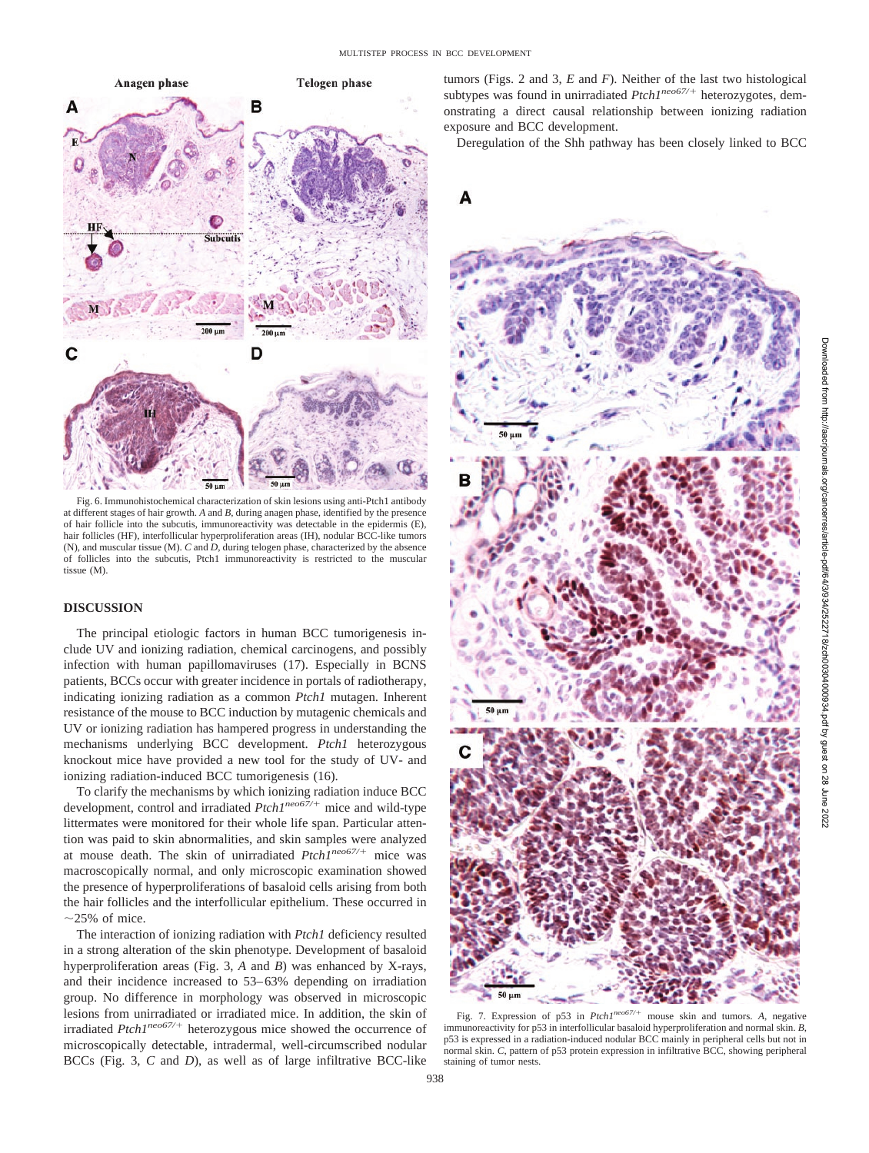

Fig. 6. Immunohistochemical characterization of skin lesions using anti-Ptch1 antibody at different stages of hair growth. *A* and *B*, during anagen phase, identified by the presence of hair follicle into the subcutis, immunoreactivity was detectable in the epidermis (E), hair follicles (HF), interfollicular hyperproliferation areas (IH), nodular BCC-like tumors (N), and muscular tissue (M). *C* and *D*, during telogen phase, characterized by the absence of follicles into the subcutis, Ptch1 immunoreactivity is restricted to the muscular tissue (M).

# **DISCUSSION**

The principal etiologic factors in human BCC tumorigenesis include UV and ionizing radiation, chemical carcinogens, and possibly infection with human papillomaviruses (17). Especially in BCNS patients, BCCs occur with greater incidence in portals of radiotherapy, indicating ionizing radiation as a common *Ptch1* mutagen. Inherent resistance of the mouse to BCC induction by mutagenic chemicals and UV or ionizing radiation has hampered progress in understanding the mechanisms underlying BCC development. *Ptch1* heterozygous knockout mice have provided a new tool for the study of UV- and ionizing radiation-induced BCC tumorigenesis (16).

To clarify the mechanisms by which ionizing radiation induce BCC development, control and irradiated *Ptch1<sup>neo67/+</sup>* mice and wild-type littermates were monitored for their whole life span. Particular attention was paid to skin abnormalities, and skin samples were analyzed at mouse death. The skin of unirradiated *Ptch1<sup>neo67/+</sup>* mice was macroscopically normal, and only microscopic examination showed the presence of hyperproliferations of basaloid cells arising from both the hair follicles and the interfollicular epithelium. These occurred in  $\sim$ 25% of mice.

The interaction of ionizing radiation with *Ptch1* deficiency resulted in a strong alteration of the skin phenotype. Development of basaloid hyperproliferation areas (Fig. 3, *A* and *B*) was enhanced by X-rays, and their incidence increased to 53–63% depending on irradiation group. No difference in morphology was observed in microscopic lesions from unirradiated or irradiated mice. In addition, the skin of irradiated *Ptch1<sup>neo67/+</sup>* heterozygous mice showed the occurrence of microscopically detectable, intradermal, well-circumscribed nodular BCCs (Fig. 3, *C* and *D*), as well as of large infiltrative BCC-like tumors (Figs. 2 and 3, *E* and *F*). Neither of the last two histological subtypes was found in unirradiated  $Ptch1^{neo67/+}$  heterozygotes, demonstrating a direct causal relationship between ionizing radiation exposure and BCC development.

Deregulation of the Shh pathway has been closely linked to BCC



Fig. 7. Expression of p53 in *Ptch1neo67/*- mouse skin and tumors. *A*, negative immunoreactivity for p53 in interfollicular basaloid hyperproliferation and normal skin. *B*, p53 is expressed in a radiation-induced nodular BCC mainly in peripheral cells but not in normal skin. *C*, pattern of p53 protein expression in infiltrative BCC, showing peripheral staining of tumor nests.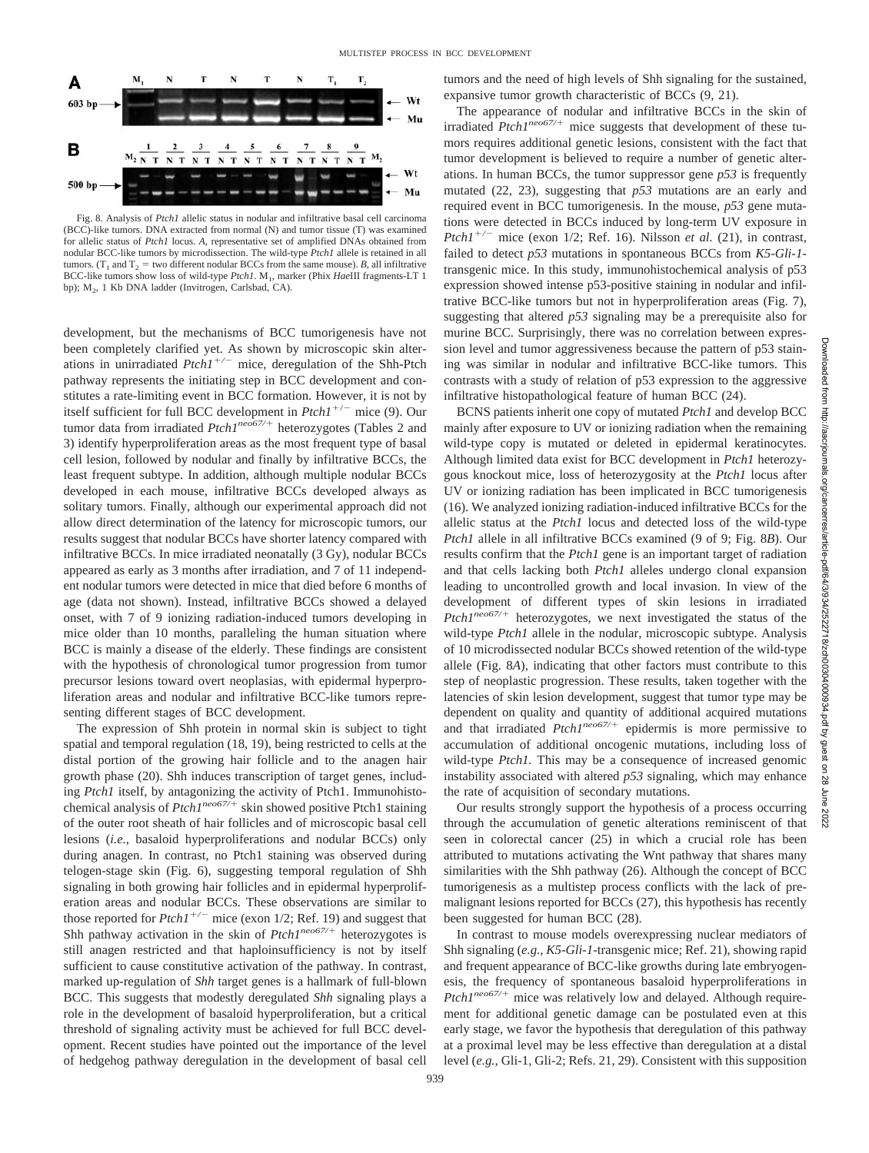

Fig. 8. Analysis of *Ptch1* allelic status in nodular and infiltrative basal cell carcinoma (BCC)-like tumors. DNA extracted from normal (N) and tumor tissue (T) was examined for allelic status of *Ptch1* locus. *A*, representative set of amplified DNAs obtained from nodular BCC-like tumors by microdissection. The wild-type *Ptch1* allele is retained in all tumors. ( $T_1$  and  $T_2$  = two different nodular BCCs from the same mouse). *B*, all infiltrative BCC-like tumors show loss of wild-type *Ptch1*. M<sub>1</sub>, marker (Phix *HaeIII fragments-LT 1* bp); M2, 1 Kb DNA ladder (Invitrogen, Carlsbad, CA).

development, but the mechanisms of BCC tumorigenesis have not been completely clarified yet. As shown by microscopic skin alterations in unirradiated *Ptch1<sup>+/-</sup>* mice, deregulation of the Shh-Ptch pathway represents the initiating step in BCC development and constitutes a rate-limiting event in BCC formation. However, it is not by itself sufficient for full BCC development in  $Ptch1^{+/-}$  mice (9). Our tumor data from irradiated *Ptch1<sup>neo67/+</sup>* heterozygotes (Tables 2 and 3) identify hyperproliferation areas as the most frequent type of basal cell lesion, followed by nodular and finally by infiltrative BCCs, the least frequent subtype. In addition, although multiple nodular BCCs developed in each mouse, infiltrative BCCs developed always as solitary tumors. Finally, although our experimental approach did not allow direct determination of the latency for microscopic tumors, our results suggest that nodular BCCs have shorter latency compared with infiltrative BCCs. In mice irradiated neonatally (3 Gy), nodular BCCs appeared as early as 3 months after irradiation, and 7 of 11 independent nodular tumors were detected in mice that died before 6 months of age (data not shown). Instead, infiltrative BCCs showed a delayed onset, with 7 of 9 ionizing radiation-induced tumors developing in mice older than 10 months, paralleling the human situation where BCC is mainly a disease of the elderly. These findings are consistent with the hypothesis of chronological tumor progression from tumor precursor lesions toward overt neoplasias, with epidermal hyperproliferation areas and nodular and infiltrative BCC-like tumors representing different stages of BCC development.

The expression of Shh protein in normal skin is subject to tight spatial and temporal regulation (18, 19), being restricted to cells at the distal portion of the growing hair follicle and to the anagen hair growth phase (20). Shh induces transcription of target genes, including *Ptch1* itself, by antagonizing the activity of Ptch1. Immunohistochemical analysis of *Ptch1<sup>neo67/+</sup>* skin showed positive Ptch1 staining of the outer root sheath of hair follicles and of microscopic basal cell lesions (*i.e.,* basaloid hyperproliferations and nodular BCCs) only during anagen. In contrast, no Ptch1 staining was observed during telogen-stage skin (Fig. 6), suggesting temporal regulation of Shh signaling in both growing hair follicles and in epidermal hyperproliferation areas and nodular BCCs. These observations are similar to those reported for  $Ptch1^{+/-}$  mice (exon 1/2; Ref. 19) and suggest that Shh pathway activation in the skin of *Ptch1<sup>neo67/+</sup>* heterozygotes is still anagen restricted and that haploinsufficiency is not by itself sufficient to cause constitutive activation of the pathway. In contrast, marked up-regulation of *Shh* target genes is a hallmark of full-blown BCC. This suggests that modestly deregulated *Shh* signaling plays a role in the development of basaloid hyperproliferation, but a critical threshold of signaling activity must be achieved for full BCC development. Recent studies have pointed out the importance of the level of hedgehog pathway deregulation in the development of basal cell tumors and the need of high levels of Shh signaling for the sustained, expansive tumor growth characteristic of BCCs (9, 21).

The appearance of nodular and infiltrative BCCs in the skin of irradiated *Ptch1<sup>neo67/+</sup>* mice suggests that development of these tumors requires additional genetic lesions, consistent with the fact that tumor development is believed to require a number of genetic alterations. In human BCCs, the tumor suppressor gene *p53* is frequently mutated (22, 23), suggesting that *p53* mutations are an early and required event in BCC tumorigenesis. In the mouse, *p53* gene mutations were detected in BCCs induced by long-term UV exposure in *Ptch1<sup>+/-</sup>* mice (exon 1/2; Ref. 16). Nilsson *et al.* (21), in contrast, failed to detect *p53* mutations in spontaneous BCCs from *K5*-*Gli*-*1* transgenic mice. In this study, immunohistochemical analysis of p53 expression showed intense p53-positive staining in nodular and infiltrative BCC-like tumors but not in hyperproliferation areas (Fig. 7), suggesting that altered *p53* signaling may be a prerequisite also for murine BCC. Surprisingly, there was no correlation between expression level and tumor aggressiveness because the pattern of p53 staining was similar in nodular and infiltrative BCC-like tumors. This contrasts with a study of relation of p53 expression to the aggressive infiltrative histopathological feature of human BCC (24).

BCNS patients inherit one copy of mutated *Ptch1* and develop BCC mainly after exposure to UV or ionizing radiation when the remaining wild-type copy is mutated or deleted in epidermal keratinocytes. Although limited data exist for BCC development in *Ptch1* heterozygous knockout mice, loss of heterozygosity at the *Ptch1* locus after UV or ionizing radiation has been implicated in BCC tumorigenesis (16). We analyzed ionizing radiation-induced infiltrative BCCs for the allelic status at the *Ptch1* locus and detected loss of the wild-type *Ptch1* allele in all infiltrative BCCs examined (9 of 9; Fig. 8*B*). Our results confirm that the *Ptch1* gene is an important target of radiation and that cells lacking both *Ptch1* alleles undergo clonal expansion leading to uncontrolled growth and local invasion. In view of the development of different types of skin lesions in irradiated Ptch1<sup>neo67/+</sup> heterozygotes, we next investigated the status of the wild-type *Ptch1* allele in the nodular, microscopic subtype. Analysis of 10 microdissected nodular BCCs showed retention of the wild-type allele (Fig. 8*A*), indicating that other factors must contribute to this step of neoplastic progression. These results, taken together with the latencies of skin lesion development, suggest that tumor type may be dependent on quality and quantity of additional acquired mutations and that irradiated *Ptch1<sup>neo67/+</sup>* epidermis is more permissive to accumulation of additional oncogenic mutations, including loss of wild-type *Ptch1.* This may be a consequence of increased genomic instability associated with altered *p53* signaling, which may enhance the rate of acquisition of secondary mutations.

Our results strongly support the hypothesis of a process occurring through the accumulation of genetic alterations reminiscent of that seen in colorectal cancer (25) in which a crucial role has been attributed to mutations activating the Wnt pathway that shares many similarities with the Shh pathway (26). Although the concept of BCC tumorigenesis as a multistep process conflicts with the lack of premalignant lesions reported for BCCs (27), this hypothesis has recently been suggested for human BCC (28).

In contrast to mouse models overexpressing nuclear mediators of Shh signaling (*e.g., K5*-*Gli*-*1*-transgenic mice; Ref. 21), showing rapid and frequent appearance of BCC-like growths during late embryogenesis, the frequency of spontaneous basaloid hyperproliferations in Ptch1<sup>neo67/+</sup> mice was relatively low and delayed. Although requirement for additional genetic damage can be postulated even at this early stage, we favor the hypothesis that deregulation of this pathway at a proximal level may be less effective than deregulation at a distal level (*e.g.,* Gli-1, Gli-2; Refs. 21, 29). Consistent with this supposition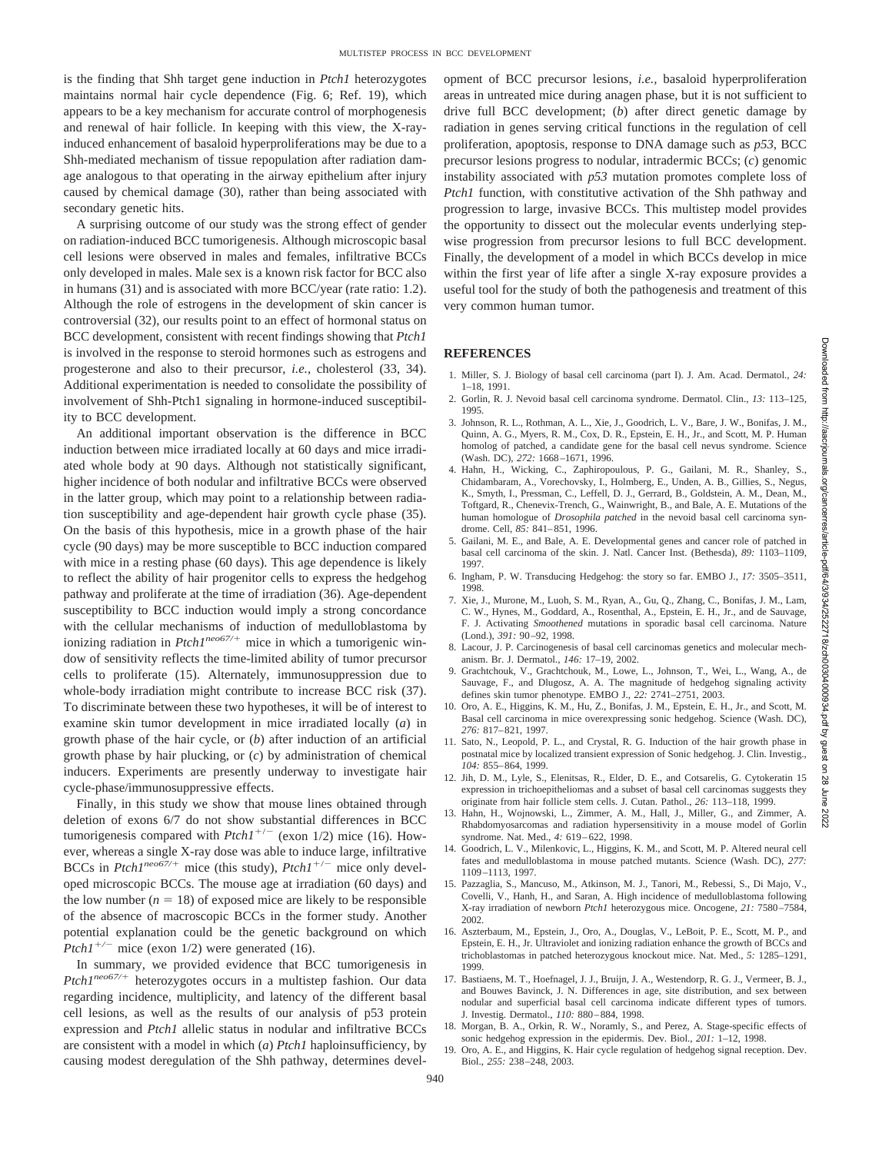is the finding that Shh target gene induction in *Ptch1* heterozygotes maintains normal hair cycle dependence (Fig. 6; Ref. 19), which appears to be a key mechanism for accurate control of morphogenesis and renewal of hair follicle. In keeping with this view, the X-rayinduced enhancement of basaloid hyperproliferations may be due to a Shh-mediated mechanism of tissue repopulation after radiation damage analogous to that operating in the airway epithelium after injury caused by chemical damage (30), rather than being associated with secondary genetic hits.

A surprising outcome of our study was the strong effect of gender on radiation-induced BCC tumorigenesis. Although microscopic basal cell lesions were observed in males and females, infiltrative BCCs only developed in males. Male sex is a known risk factor for BCC also in humans (31) and is associated with more BCC/year (rate ratio: 1.2). Although the role of estrogens in the development of skin cancer is controversial (32), our results point to an effect of hormonal status on BCC development, consistent with recent findings showing that *Ptch1* is involved in the response to steroid hormones such as estrogens and progesterone and also to their precursor, *i.e.,* cholesterol (33, 34). Additional experimentation is needed to consolidate the possibility of involvement of Shh-Ptch1 signaling in hormone-induced susceptibility to BCC development.

An additional important observation is the difference in BCC induction between mice irradiated locally at 60 days and mice irradiated whole body at 90 days. Although not statistically significant, higher incidence of both nodular and infiltrative BCCs were observed in the latter group, which may point to a relationship between radiation susceptibility and age-dependent hair growth cycle phase (35). On the basis of this hypothesis, mice in a growth phase of the hair cycle (90 days) may be more susceptible to BCC induction compared with mice in a resting phase (60 days). This age dependence is likely to reflect the ability of hair progenitor cells to express the hedgehog pathway and proliferate at the time of irradiation (36). Age-dependent susceptibility to BCC induction would imply a strong concordance with the cellular mechanisms of induction of medulloblastoma by ionizing radiation in  $PtchI^{neo67/+}$  mice in which a tumorigenic window of sensitivity reflects the time-limited ability of tumor precursor cells to proliferate (15). Alternately, immunosuppression due to whole-body irradiation might contribute to increase BCC risk (37). To discriminate between these two hypotheses, it will be of interest to examine skin tumor development in mice irradiated locally (*a*) in growth phase of the hair cycle, or (*b*) after induction of an artificial growth phase by hair plucking, or (*c*) by administration of chemical inducers. Experiments are presently underway to investigate hair cycle-phase/immunosuppressive effects.

Finally, in this study we show that mouse lines obtained through deletion of exons 6/7 do not show substantial differences in BCC tumorigenesis compared with  $Ptch1^{+/-}$  (exon 1/2) mice (16). However, whereas a single X-ray dose was able to induce large, infiltrative BCCs in  $Ptch1^{neo67/+}$  mice (this study),  $Ptch1^{+/-}$  mice only developed microscopic BCCs. The mouse age at irradiation (60 days) and the low number  $(n = 18)$  of exposed mice are likely to be responsible of the absence of macroscopic BCCs in the former study. Another potential explanation could be the genetic background on which *Ptch1<sup>+/-</sup>* mice (exon 1/2) were generated (16).

In summary, we provided evidence that BCC tumorigenesis in Ptch1<sup>neo67/+</sup> heterozygotes occurs in a multistep fashion. Our data regarding incidence, multiplicity, and latency of the different basal cell lesions, as well as the results of our analysis of p53 protein expression and *Ptch1* allelic status in nodular and infiltrative BCCs are consistent with a model in which (*a*) *Ptch1* haploinsufficiency, by causing modest deregulation of the Shh pathway, determines development of BCC precursor lesions, *i.e.,* basaloid hyperproliferation areas in untreated mice during anagen phase, but it is not sufficient to drive full BCC development; (*b*) after direct genetic damage by radiation in genes serving critical functions in the regulation of cell proliferation, apoptosis, response to DNA damage such as *p53*, BCC precursor lesions progress to nodular, intradermic BCCs; (*c*) genomic instability associated with *p53* mutation promotes complete loss of *Ptch1* function, with constitutive activation of the Shh pathway and progression to large, invasive BCCs. This multistep model provides the opportunity to dissect out the molecular events underlying stepwise progression from precursor lesions to full BCC development. Finally, the development of a model in which BCCs develop in mice within the first year of life after a single X-ray exposure provides a useful tool for the study of both the pathogenesis and treatment of this very common human tumor.

### **REFERENCES**

- 1. Miller, S. J. Biology of basal cell carcinoma (part I). J. Am. Acad. Dermatol., *24:* 1–18, 1991.
- 2. Gorlin, R. J. Nevoid basal cell carcinoma syndrome. Dermatol. Clin., *13:* 113–125, 1995.
- 3. Johnson, R. L., Rothman, A. L., Xie, J., Goodrich, L. V., Bare, J. W., Bonifas, J. M., Quinn, A. G., Myers, R. M., Cox, D. R., Epstein, E. H., Jr., and Scott, M. P. Human homolog of patched, a candidate gene for the basal cell nevus syndrome. Science (Wash. DC), *272:* 1668–1671, 1996.
- 4. Hahn, H., Wicking, C., Zaphiropoulous, P. G., Gailani, M. R., Shanley, S., Chidambaram, A., Vorechovsky, I., Holmberg, E., Unden, A. B., Gillies, S., Negus, K., Smyth, I., Pressman, C., Leffell, D. J., Gerrard, B., Goldstein, A. M., Dean, M., Toftgard, R., Chenevix-Trench, G., Wainwright, B., and Bale, A. E. Mutations of the human homologue of *Drosophila patched* in the nevoid basal cell carcinoma syndrome. Cell, *85:* 841–851, 1996.
- 5. Gailani, M. E., and Bale, A. E. Developmental genes and cancer role of patched in basal cell carcinoma of the skin. J. Natl. Cancer Inst. (Bethesda), *89:* 1103–1109, 1997.
- 6. Ingham, P. W. Transducing Hedgehog: the story so far. EMBO J., *17:* 3505–3511, 1998.
- 7. Xie, J., Murone, M., Luoh, S. M., Ryan, A., Gu, Q., Zhang, C., Bonifas, J. M., Lam, C. W., Hynes, M., Goddard, A., Rosenthal, A., Epstein, E. H., Jr., and de Sauvage, F. J. Activating *Smoothened* mutations in sporadic basal cell carcinoma. Nature (Lond.), *391:* 90–92, 1998.
- 8. Lacour, J. P. Carcinogenesis of basal cell carcinomas genetics and molecular mechanism. Br. J. Dermatol., *146:* 17–19, 2002.
- 9. Grachtchouk, V., Grachtchouk, M., Lowe, L., Johnson, T., Wei, L., Wang, A., de Sauvage, F., and Dlugosz, A. A. The magnitude of hedgehog signaling activity defines skin tumor phenotype. EMBO J., *22:* 2741–2751, 2003.
- 10. Oro, A. E., Higgins, K. M., Hu, Z., Bonifas, J. M., Epstein, E. H., Jr., and Scott, M. Basal cell carcinoma in mice overexpressing sonic hedgehog. Science (Wash. DC), *276:* 817–821, 1997.
- 11. Sato, N., Leopold, P. L., and Crystal, R. G. Induction of the hair growth phase in postnatal mice by localized transient expression of Sonic hedgehog. J. Clin. Investig., *104:* 855–864, 1999.
- 12. Jih, D. M., Lyle, S., Elenitsas, R., Elder, D. E., and Cotsarelis, G. Cytokeratin 15 expression in trichoepitheliomas and a subset of basal cell carcinomas suggests they originate from hair follicle stem cells. J. Cutan. Pathol., *26:* 113–118, 1999.
- 13. Hahn, H., Wojnowski, L., Zimmer, A. M., Hall, J., Miller, G., and Zimmer, A. Rhabdomyosarcomas and radiation hypersensitivity in a mouse model of Gorlin syndrome. Nat. Med., *4:* 619–622, 1998.
- 14. Goodrich, L. V., Milenkovic, L., Higgins, K. M., and Scott, M. P. Altered neural cell fates and medulloblastoma in mouse patched mutants. Science (Wash. DC), *277:* 1109–1113, 1997.
- 15. Pazzaglia, S., Mancuso, M., Atkinson, M. J., Tanori, M., Rebessi, S., Di Majo, V., Covelli, V., Hanh, H., and Saran, A. High incidence of medulloblastoma following X-ray irradiation of newborn *Ptch1* heterozygous mice. Oncogene, *21:* 7580–7584, 2002.
- 16. Aszterbaum, M., Epstein, J., Oro, A., Douglas, V., LeBoit, P. E., Scott, M. P., and Epstein, E. H., Jr. Ultraviolet and ionizing radiation enhance the growth of BCCs and trichoblastomas in patched heterozygous knockout mice. Nat. Med., *5:* 1285–1291, 1999.
- 17. Bastiaens, M. T., Hoefnagel, J. J., Bruijn, J. A., Westendorp, R. G. J., Vermeer, B. J., and Bouwes Bavinck, J. N. Differences in age, site distribution, and sex between nodular and superficial basal cell carcinoma indicate different types of tumors. J. Investig. Dermatol., *110:* 880–884, 1998.
- 18. Morgan, B. A., Orkin, R. W., Noramly, S., and Perez, A. Stage-specific effects of sonic hedgehog expression in the epidermis. Dev. Biol., *201:* 1–12, 1998.
- 19. Oro, A. E., and Higgins, K. Hair cycle regulation of hedgehog signal reception. Dev. Biol., *255:* 238–248, 2003.